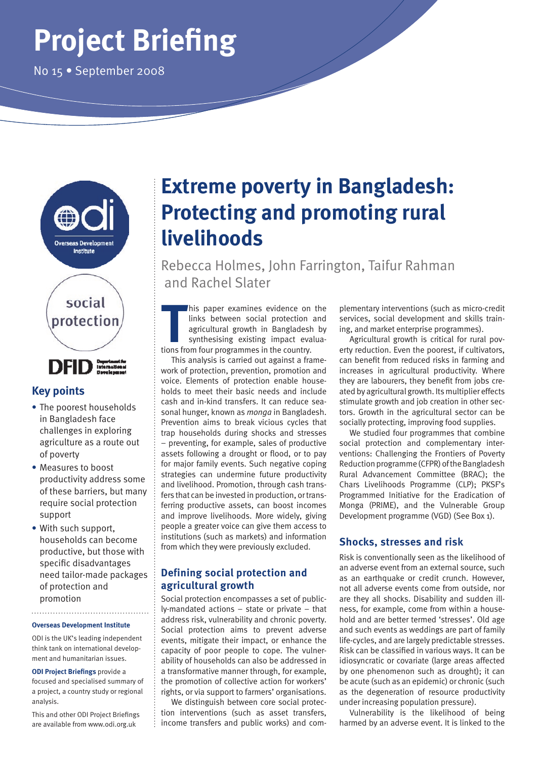# **Project Briefing**

No 15 • September 2008



# **Key points**

- **•** The poorest households in Bangladesh face challenges in exploring agriculture as a route out of poverty
- **•** Measures to boost productivity address some of these barriers, but many require social protection support
- **•** With such support, households can become productive, but those with specific disadvantages need tailor-made packages of protection and promotion

#### **Overseas Development Institute**

ODI is the UK's leading independent think tank on international development and humanitarian issues.

**ODI Project Briefings** provide a focused and specialised summary of a project, a country study or regional analysis.

This and other ODI Project Briefings are available from www.odi.org.uk

# **Extreme poverty in Bangladesh: Protecting and promoting rural livelihoods**

Rebecca Holmes, John Farrington, Taifur Rahman and Rachel Slater

This paper examines evidence on links between social protection agricultural growth in Banglades<br>synthesising existing impact evary.<br>tions from four programmes in the country. his paper examines evidence on the links between social protection and agricultural growth in Bangladesh by synthesising existing impact evalua-

This analysis is carried out against a framework of protection, prevention, promotion and voice. Elements of protection enable households to meet their basic needs and include cash and in-kind transfers. It can reduce seasonal hunger, known as *monga* in Bangladesh. Prevention aims to break vicious cycles that trap households during shocks and stresses – preventing, for example, sales of productive assets following a drought or flood, or to pay for major family events. Such negative coping strategies can undermine future productivity and livelihood. Promotion, through cash transfers that can be invested in production, or transferring productive assets, can boost incomes and improve livelihoods. More widely, giving people a greater voice can give them access to institutions (such as markets) and information from which they were previously excluded.

## **Defining social protection and agricultural growth**

Social protection encompasses a set of publicly-mandated actions – state or private – that address risk, vulnerability and chronic poverty. Social protection aims to prevent adverse events, mitigate their impact, or enhance the capacity of poor people to cope. The vulnerability of households can also be addressed in a transformative manner through, for example, the promotion of collective action for workers' rights, or via support to farmers' organisations.

We distinguish between core social protection interventions (such as asset transfers, income transfers and public works) and com-

plementary interventions (such as micro-credit services, social development and skills training, and market enterprise programmes).

Agricultural growth is critical for rural poverty reduction. Even the poorest, if cultivators, can benefit from reduced risks in farming and increases in agricultural productivity. Where they are labourers, they benefit from jobs created by agricultural growth. Its multiplier effects stimulate growth and job creation in other sectors. Growth in the agricultural sector can be socially protecting, improving food supplies.

We studied four programmes that combine social protection and complementary interventions: Challenging the Frontiers of Poverty Reduction programme (CFPR) of the Bangladesh Rural Advancement Committee (BRAC); the Chars Livelihoods Programme (CLP); PKSF's Programmed Initiative for the Eradication of Monga (PRIME), and the Vulnerable Group Development programme (VGD) (See Box 1).

# **Shocks, stresses and risk**

Risk is conventionally seen as the likelihood of an adverse event from an external source, such as an earthquake or credit crunch. However, not all adverse events come from outside, nor are they all shocks. Disability and sudden illness, for example, come from within a household and are better termed 'stresses'. Old age and such events as weddings are part of family life-cycles, and are largely predictable stresses. Risk can be classified in various ways. It can be idiosyncratic or covariate (large areas affected by one phenomenon such as drought); it can be acute (such as an epidemic) or chronic (such as the degeneration of resource productivity under increasing population pressure).

Vulnerability is the likelihood of being harmed by an adverse event. It is linked to the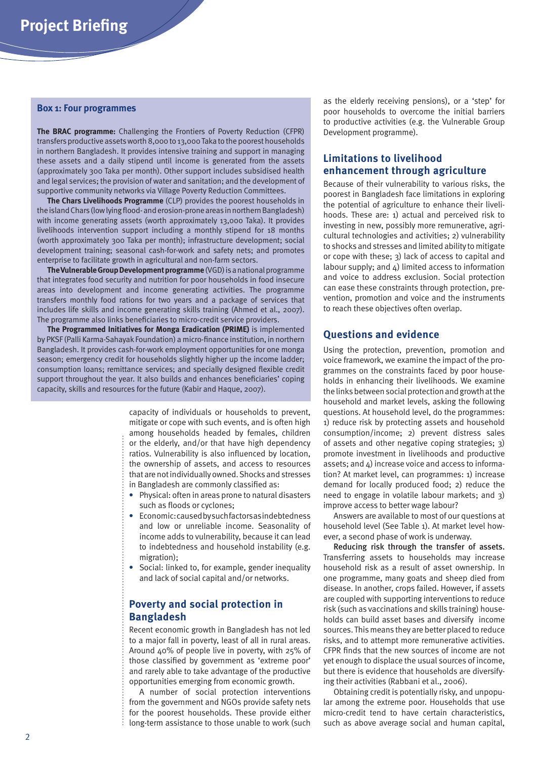#### **Box 1: Four programmes**

**The BRAC programme:** Challenging the Frontiers of Poverty Reduction (CFPR) transfers productive assets worth 8,000 to 13,000 Taka to the poorest households in northern Bangladesh. It provides intensive training and support in managing these assets and a daily stipend until income is generated from the assets (approximately 300 Taka per month). Other support includes subsidised health and legal services; the provision of water and sanitation; and the development of supportive community networks via Village Poverty Reduction Committees.

**The Chars Livelihoods Programme** (CLP) provides the poorest households in the island Chars (low lying flood- and erosion-prone areas in northern Bangladesh) with income generating assets (worth approximately 13,000 Taka). It provides livelihoods intervention support including a monthly stipend for 18 months (worth approximately 300 Taka per month); infrastructure development; social development training; seasonal cash-for-work and safety nets; and promotes enterprise to facilitate growth in agricultural and non-farm sectors.

**The Vulnerable Group Development programme** (VGD) is a national programme that integrates food security and nutrition for poor households in food insecure areas into development and income generating activities. The programme transfers monthly food rations for two years and a package of services that includes life skills and income generating skills training (Ahmed et al., 2007). The programme also links beneficiaries to micro-credit service providers.

**The Programmed Initiatives for Monga Eradication (PRIME)** is implemented by PKSF (Palli Karma-Sahayak Foundation) a micro-finance institution, in northern Bangladesh. It provides cash-for-work employment opportunities for one monga season; emergency credit for households slightly higher up the income ladder; consumption loans; remittance services; and specially designed flexible credit support throughout the year. It also builds and enhances beneficiaries' coping capacity, skills and resources for the future (Kabir and Haque, 2007).

> capacity of individuals or households to prevent, mitigate or cope with such events, and is often high among households headed by females, children or the elderly, and/or that have high dependency ratios. Vulnerability is also influenced by location, the ownership of assets, and access to resources that are not individually owned. Shocks and stresses in Bangladesh are commonly classified as:

- **•** Physical: often in areas prone to natural disasters such as floods or cyclones;
- **•** Economic: caused by such factors as indebtedness and low or unreliable income. Seasonality of income adds to vulnerability, because it can lead to indebtedness and household instability (e.g. migration);
- **•** Social: linked to, for example, gender inequality and lack of social capital and/or networks.

### **Poverty and social protection in Bangladesh**

Recent economic growth in Bangladesh has not led to a major fall in poverty, least of all in rural areas. Around 40% of people live in poverty, with 25% of those classified by government as 'extreme poor' and rarely able to take advantage of the productive opportunities emerging from economic growth.

A number of social protection interventions from the government and NGOs provide safety nets for the poorest households. These provide either long-term assistance to those unable to work (such as the elderly receiving pensions), or a 'step' for poor households to overcome the initial barriers to productive activities (e.g. the Vulnerable Group Development programme).

#### **Limitations to livelihood enhancement through agriculture**

Because of their vulnerability to various risks, the poorest in Bangladesh face limitations in exploring the potential of agriculture to enhance their livelihoods. These are: 1) actual and perceived risk to investing in new, possibly more remunerative, agricultural technologies and activities; 2) vulnerability to shocks and stresses and limited ability to mitigate or cope with these; 3) lack of access to capital and labour supply; and 4) limited access to information and voice to address exclusion. Social protection can ease these constraints through protection, prevention, promotion and voice and the instruments to reach these objectives often overlap.

#### **Questions and evidence**

Using the protection, prevention, promotion and voice framework, we examine the impact of the programmes on the constraints faced by poor households in enhancing their livelihoods. We examine the links between social protection and growth at the household and market levels, asking the following questions. At household level, do the programmes: 1) reduce risk by protecting assets and household consumption/income; 2) prevent distress sales of assets and other negative coping strategies; 3) promote investment in livelihoods and productive assets; and 4) increase voice and access to information? At market level, can programmes: 1) increase demand for locally produced food; 2) reduce the need to engage in volatile labour markets; and 3) improve access to better wage labour?

Answers are available to most of our questions at household level (See Table 1). At market level however, a second phase of work is underway.

Reducing risk through the transfer of assets. Transferring assets to households may increase household risk as a result of asset ownership. In one programme, many goats and sheep died from disease. In another, crops failed. However, if assets are coupled with supporting interventions to reduce risk (such as vaccinations and skills training) households can build asset bases and diversify income sources. This means they are better placed to reduce risks, and to attempt more remunerative activities. CFPR finds that the new sources of income are not yet enough to displace the usual sources of income, but there is evidence that households are diversifying their activities (Rabbani et al., 2006).

Obtaining credit is potentially risky, and unpopular among the extreme poor. Households that use micro-credit tend to have certain characteristics, such as above average social and human capital,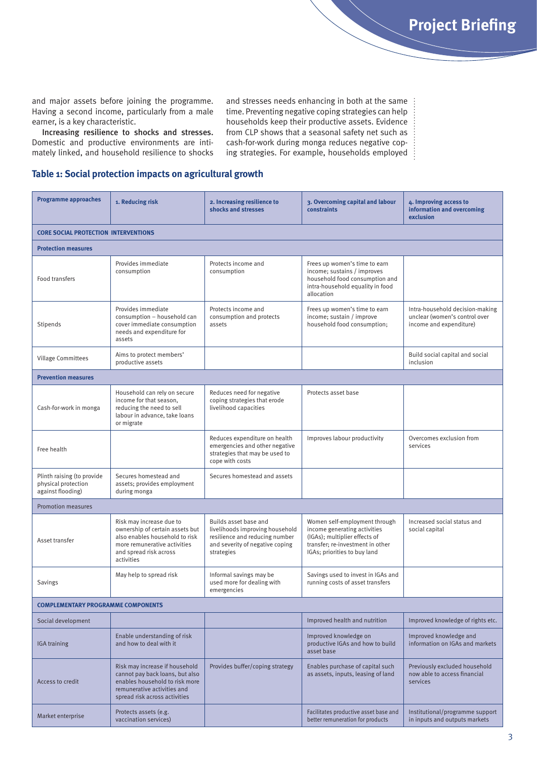and major assets before joining the programme. Having a second income, particularly from a male earner, is a key characteristic.

Increasing resilience to shocks and stresses. Domestic and productive environments are intimately linked, and household resilience to shocks and stresses needs enhancing in both at the same time. Preventing negative coping strategies can help households keep their productive assets. Evidence from CLP shows that a seasonal safety net such as cash-for-work during monga reduces negative coping strategies. For example, households employed

#### **Table 1: Social protection impacts on agricultural growth**

| <b>Programme approaches</b>                                            | 1. Reducing risk                                                                                                                                                      | 2. Increasing resilience to<br>shocks and stresses                                                                                          | 3. Overcoming capital and labour<br><b>constraints</b>                                                                                                             | 4. Improving access to<br>information and overcoming<br>exclusion                           |
|------------------------------------------------------------------------|-----------------------------------------------------------------------------------------------------------------------------------------------------------------------|---------------------------------------------------------------------------------------------------------------------------------------------|--------------------------------------------------------------------------------------------------------------------------------------------------------------------|---------------------------------------------------------------------------------------------|
| <b>CORE SOCIAL PROTECTION INTERVENTIONS</b>                            |                                                                                                                                                                       |                                                                                                                                             |                                                                                                                                                                    |                                                                                             |
| <b>Protection measures</b>                                             |                                                                                                                                                                       |                                                                                                                                             |                                                                                                                                                                    |                                                                                             |
| Food transfers                                                         | Provides immediate<br>consumption                                                                                                                                     | Protects income and<br>consumption                                                                                                          | Frees up women's time to earn<br>income; sustains / improves<br>household food consumption and<br>intra-household equality in food<br>allocation                   |                                                                                             |
| Stipends                                                               | Provides immediate<br>consumption - household can<br>cover immediate consumption<br>needs and expenditure for<br>assets                                               | Protects income and<br>consumption and protects<br>assets                                                                                   | Frees up women's time to earn<br>income; sustain / improve<br>household food consumption;                                                                          | Intra-household decision-making<br>unclear (women's control over<br>income and expenditure) |
| Village Committees                                                     | Aims to protect members'<br>productive assets                                                                                                                         |                                                                                                                                             |                                                                                                                                                                    | Build social capital and social<br>inclusion                                                |
| <b>Prevention measures</b>                                             |                                                                                                                                                                       |                                                                                                                                             |                                                                                                                                                                    |                                                                                             |
| Cash-for-work in monga                                                 | Household can rely on secure<br>income for that season,<br>reducing the need to sell<br>labour in advance, take loans<br>or migrate                                   | Reduces need for negative<br>coping strategies that erode<br>livelihood capacities                                                          | Protects asset base                                                                                                                                                |                                                                                             |
| Free health                                                            |                                                                                                                                                                       | Reduces expenditure on health<br>emergencies and other negative<br>strategies that may be used to<br>cope with costs                        | Improves labour productivity                                                                                                                                       | Overcomes exclusion from<br>services                                                        |
| Plinth raising (to provide<br>physical protection<br>against flooding) | Secures homestead and<br>assets; provides employment<br>during monga                                                                                                  | Secures homestead and assets                                                                                                                |                                                                                                                                                                    |                                                                                             |
| <b>Promotion measures</b>                                              |                                                                                                                                                                       |                                                                                                                                             |                                                                                                                                                                    |                                                                                             |
| Asset transfer                                                         | Risk may increase due to<br>ownership of certain assets but<br>also enables household to risk<br>more remunerative activities<br>and spread risk across<br>activities | Builds asset base and<br>livelihoods improving household<br>resilience and reducing number<br>and severity of negative coping<br>strategies | Women self-employment through<br>income generating activities<br>(IGAs); multiplier effects of<br>transfer; re-investment in other<br>IGAs; priorities to buy land | Increased social status and<br>social capital                                               |
| Savings                                                                | May help to spread risk                                                                                                                                               | Informal savings may be<br>used more for dealing with<br>emergencies                                                                        | Savings used to invest in IGAs and<br>running costs of asset transfers                                                                                             |                                                                                             |
| <b>COMPLEMENTARY PROGRAMME COMPONENTS</b>                              |                                                                                                                                                                       |                                                                                                                                             |                                                                                                                                                                    |                                                                                             |
| Social development                                                     |                                                                                                                                                                       |                                                                                                                                             | Improved health and nutrition                                                                                                                                      | Improved knowledge of rights etc.                                                           |
| <b>IGA</b> training                                                    | Enable understanding of risk<br>and how to deal with it                                                                                                               |                                                                                                                                             | Improved knowledge on<br>productive IGAs and how to build<br>asset base                                                                                            | Improved knowledge and<br>information on IGAs and markets                                   |
| Access to credit                                                       | Risk may increase if household<br>cannot pay back loans, but also<br>enables household to risk more<br>remunerative activities and<br>spread risk across activities   | Provides buffer/coping strategy                                                                                                             | Enables purchase of capital such<br>as assets, inputs, leasing of land                                                                                             | Previously excluded household<br>now able to access financial<br>services                   |
| Market enterprise                                                      | Protects assets (e.g.<br>vaccination services)                                                                                                                        |                                                                                                                                             | Facilitates productive asset base and<br>better remuneration for products                                                                                          | Institutional/programme support<br>in inputs and outputs markets                            |